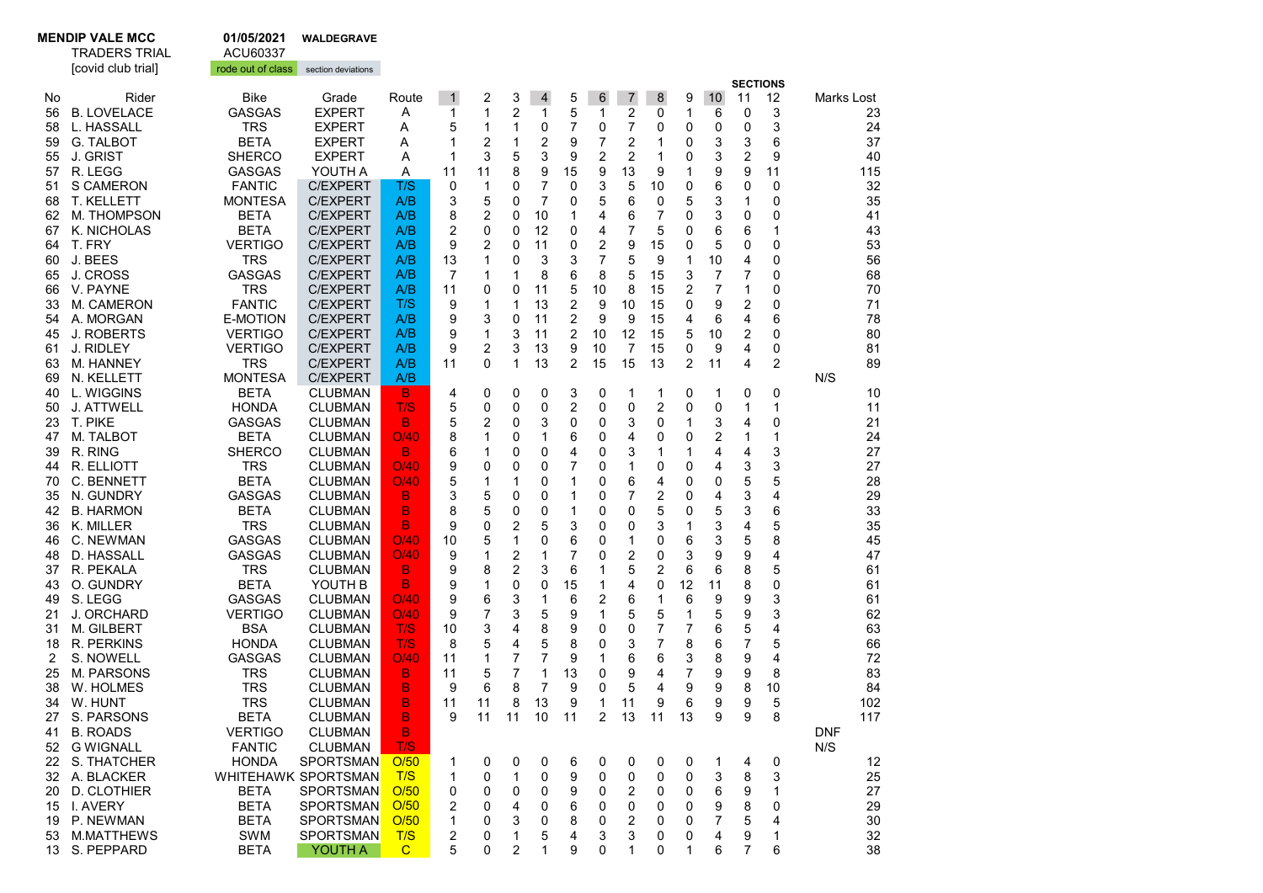## MENDIP VALE MCC 01/05/2021 WALDEGRAVE<br>TRADERS TRIAL ACU60337

TRADERS TRIAL

|    | [covid club trial] | rode out of class | section deviations  |              |                         |    |              |                |                         |                |    |                |    |    |                         |    |            |            |
|----|--------------------|-------------------|---------------------|--------------|-------------------------|----|--------------|----------------|-------------------------|----------------|----|----------------|----|----|-------------------------|----|------------|------------|
|    |                    |                   |                     |              |                         |    |              |                |                         |                |    |                |    |    | <b>SECTIONS</b>         |    |            |            |
| No | Rider              | <b>Bike</b>       | Grade               | Route        | $\mathbf{1}$            | 2  | 3            | $\overline{4}$ | 5                       | 6              | 7  | 8              | 9  | 10 | 11                      | 12 |            | Marks Lost |
| 56 | <b>B. LOVELACE</b> | <b>GASGAS</b>     | <b>EXPERT</b>       | A            | 1                       | 1  | 2            | 1              | 5                       | 1              | 2  | 0              | 1  | 6  | 0                       | 3  |            | 23         |
| 58 | L. HASSALL         | <b>TRS</b>        | <b>EXPERT</b>       | A            | 5                       | 1  | 1            | 0              | 7                       | 0              | 7  | 0              | 0  | 0  | 0                       | 3  |            | 24         |
| 59 | <b>G. TALBOT</b>   | <b>BETA</b>       | <b>EXPERT</b>       | Α            | 1                       | 2  | $\mathbf{1}$ | 2              | 9                       | 7              | 2  | 1              | 0  | 3  | 3                       | 6  |            | 37         |
| 55 | J. GRIST           | <b>SHERCO</b>     | <b>EXPERT</b>       | Α            | 1                       | 3  | 5            | 3              | 9                       | 2              | 2  | 1              | 0  | 3  | 2                       | 9  |            | 40         |
| 57 | R. LEGG            | <b>GASGAS</b>     | YOUTH A             | Α            | 11                      | 11 | 8            | 9              | 15                      | 9              | 13 | 9              | 1  | 9  | 9                       | 11 |            | 115        |
| 51 | S CAMERON          | <b>FANTIC</b>     | <b>C/EXPERT</b>     | T/S          | 0                       | 1  | 0            | 7              | 0                       | 3              | 5  | 10             | 0  | 6  | 0                       | 0  |            | 32         |
|    | <b>T. KELLETT</b>  | <b>MONTESA</b>    | <b>C/EXPERT</b>     | A/B          | 3                       | 5  | 0            | 7              | 0                       | 5              | 6  | 0              | 5  | 3  | 1                       | 0  |            | 35         |
| 68 |                    |                   |                     |              |                         |    |              |                |                         |                |    |                |    |    |                         |    |            |            |
| 62 | M. THOMPSON        | <b>BETA</b>       | <b>C/EXPERT</b>     | A/B          | 8                       | 2  | 0            | 10             | 1                       | 4              | 6  | 7              | 0  | 3  | 0                       | 0  |            | 41         |
| 67 | K. NICHOLAS        | <b>BETA</b>       | <b>C/EXPERT</b>     | A/B          | $\overline{\mathbf{c}}$ | 0  | 0            | 12             | 0                       | 4              | 7  | 5              | 0  | 6  | 6                       | 1  |            | 43         |
| 64 | T. FRY             | <b>VERTIGO</b>    | <b>C/EXPERT</b>     | A/B          | 9                       | 2  | 0            | 11             | 0                       | 2              | 9  | 15             | 0  | 5  | 0                       | 0  |            | 53         |
| 60 | J. BEES            | <b>TRS</b>        | <b>C/EXPERT</b>     | A/B          | 13                      | 1  | 0            | 3              | 3                       | $\overline{7}$ | 5  | 9              | 1  | 10 | 4                       | 0  |            | 56         |
| 65 | J. CROSS           | <b>GASGAS</b>     | <b>C/EXPERT</b>     | A/B          | 7                       | 1  | 1            | 8              | 6                       | 8              | 5  | 15             | 3  | 7  | 7                       | 0  |            | 68         |
| 66 | V. PAYNE           | <b>TRS</b>        | <b>C/EXPERT</b>     | A/B          | 11                      | 0  | 0            | 11             | 5                       | 10             | 8  | 15             | 2  | 7  | 1                       | 0  |            | 70         |
| 33 | M. CAMERON         | <b>FANTIC</b>     | <b>C/EXPERT</b>     | T/S          | 9                       | 1  | 1            | 13             | $\overline{\mathbf{c}}$ | 9              | 10 | 15             | 0  | 9  | $\overline{\mathbf{c}}$ | 0  |            | 71         |
| 54 | A. MORGAN          | E-MOTION          | <b>C/EXPERT</b>     | A/B          | 9                       | 3  | 0            | 11             | 2                       | 9              | 9  | 15             | 4  | 6  | 4                       | 6  |            | 78         |
| 45 | <b>J. ROBERTS</b>  | <b>VERTIGO</b>    | <b>C/EXPERT</b>     | A/B          | 9                       | 1  | 3            | 11             | 2                       | 10             | 12 | 15             | 5  | 10 | 2                       | 0  |            | 80         |
| 61 | <b>J. RIDLEY</b>   | <b>VERTIGO</b>    | <b>C/EXPERT</b>     | A/B          | 9                       | 2  | 3            | 13             | 9                       | 10             | 7  | 15             | 0  | 9  | 4                       | 0  |            | 81         |
| 63 | M. HANNEY          | TRS               | <b>C/EXPERT</b>     | A/B          | 11                      | 0  | 1            | 13             | $\overline{2}$          | 15             | 15 | 13             | 2  | 11 | 4                       | 2  |            | 89         |
| 69 | N. KELLETT         | <b>MONTESA</b>    | <b>C/EXPERT</b>     | A/B          |                         |    |              |                |                         |                |    |                |    |    |                         |    | N/S        |            |
| 40 | L. WIGGINS         | <b>BETA</b>       | <b>CLUBMAN</b>      | В.           | 4                       | 0  | 0            | 0              | 3                       | 0              | 1  | 1              | 0  | 1  | 0                       | 0  |            | 10         |
| 50 | J. ATTWELL         | <b>HONDA</b>      | <b>CLUBMAN</b>      | T/S          | 5                       | 0  | 0            | 0              | 2                       | 0              | 0  | 2              | 0  | 0  | 1                       | 1  |            | 11         |
|    | T. PIKE            | <b>GASGAS</b>     | <b>CLUBMAN</b>      | B            |                         |    |              |                |                         |                |    |                |    |    |                         |    |            |            |
| 23 |                    |                   |                     |              | 5                       | 2  | 0            | 3              | 0                       | 0              | 3  | 0              | 1  | 3  | 4                       | 0  |            | 21         |
| 47 | M. TALBOT          | <b>BETA</b>       | <b>CLUBMAN</b>      | O/40         | 8                       | 1  | 0            | 1              | 6                       | 0              | 4  | 0              | 0  | 2  | 1                       | 1  |            | 24         |
| 39 | R. RING            | <b>SHERCO</b>     | <b>CLUBMAN</b>      | B            | 6                       | 1  | 0            | 0              | 4                       | 0              | 3  | 1              | 1  | 4  | 4                       | 3  |            | 27         |
| 44 | R. ELLIOTT         | <b>TRS</b>        | <b>CLUBMAN</b>      | O/40         | 9                       | 0  | 0            | 0              | 7                       | 0              | 1  | 0              | 0  | 4  | 3                       | 3  |            | 27         |
| 70 | C. BENNETT         | <b>BETA</b>       | <b>CLUBMAN</b>      | O/40         | 5                       | 1  | 1            | 0              | 1                       | 0              | 6  | 4              | 0  | 0  | 5                       | 5  |            | 28         |
| 35 | N. GUNDRY          | <b>GASGAS</b>     | <b>CLUBMAN</b>      | B            | 3                       | 5  | 0            | 0              | 1                       | 0              | 7  | 2              | 0  | 4  | 3                       | 4  |            | 29         |
| 42 | <b>B. HARMON</b>   | <b>BETA</b>       | <b>CLUBMAN</b>      | B            | 8                       | 5  | 0            | 0              | 1                       | 0              | 0  | 5              | 0  | 5  | 3                       | 6  |            | 33         |
| 36 | K. MILLER          | <b>TRS</b>        | <b>CLUBMAN</b>      | B            | 9                       | 0  | 2            | 5              | 3                       | 0              | 0  | 3              | 1  | 3  | 4                       | 5  |            | 35         |
| 46 | C. NEWMAN          | <b>GASGAS</b>     | <b>CLUBMAN</b>      | O/40         | 10                      | 5  | 1            | 0              | 6                       | 0              | 1  | 0              | 6  | 3  | 5                       | 8  |            | 45         |
| 48 | D. HASSALL         | <b>GASGAS</b>     | <b>CLUBMAN</b>      | O/40         | 9                       | 1  | 2            | 1              | 7                       | 0              | 2  | 0              | 3  | 9  | 9                       | 4  |            | 47         |
| 37 | R. PEKALA          | <b>TRS</b>        | <b>CLUBMAN</b>      | В            | 9                       | 8  | 2            | 3              | 6                       | 1              | 5  | 2              | 6  | 6  | 8                       | 5  |            | 61         |
| 43 | O. GUNDRY          | <b>BETA</b>       | YOUTH B             | B            | 9                       | 1  | 0            | 0              | 15                      | 1              | 4  | 0              | 12 | 11 | 8                       | 0  |            | 61         |
| 49 | S. LEGG            | <b>GASGAS</b>     | <b>CLUBMAN</b>      | O/40         | 9                       | 6  | 3            | 1              | 6                       | $\overline{c}$ | 6  | 1              | 6  | 9  | 9                       | 3  |            | 61         |
| 21 | J. ORCHARD         | <b>VERTIGO</b>    | <b>CLUBMAN</b>      | O/40         | 9                       | 7  | 3            | 5              | 9                       | 1              | 5  | 5              | 1  | 5  | 9                       | 3  |            | 62         |
| 31 | <b>M. GILBERT</b>  | <b>BSA</b>        | <b>CLUBMAN</b>      | T/S          | 10                      | 3  | 4            | 8              | 9                       | 0              | 0  | $\overline{7}$ | 7  | 6  | 5                       | 4  |            | 63         |
| 18 | R. PERKINS         | <b>HONDA</b>      | <b>CLUBMAN</b>      | T/S          | 8                       | 5  | 4            | 5              | 8                       | 0              | 3  | 7              | 8  | 6  | 7                       | 5  |            | 66         |
| 2  | <b>S. NOWELL</b>   | <b>GASGAS</b>     | <b>CLUBMAN</b>      | O/40         | 11                      | 1  | 7            | 7              | 9                       | 1              | 6  | 6              | 3  | 8  | 9                       | 4  |            | 72         |
| 25 | M. PARSONS         | <b>TRS</b>        | <b>CLUBMAN</b>      | B            | 11                      | 5  | 7            | 1              | 13                      | 0              | 9  | 4              | 7  | 9  | 9                       | 8  |            | 83         |
| 38 | W. HOLMES          | <b>TRS</b>        | <b>CLUBMAN</b>      | B            | 9                       | 6  | 8            | 7              | 9                       | 0              | 5  | 4              | 9  | 9  |                         | 10 |            | 84         |
|    |                    | <b>TRS</b>        |                     |              |                         |    |              | 13             |                         | 1              |    |                | 6  |    | 8                       |    |            |            |
| 34 | W. HUNT            |                   | <b>CLUBMAN</b>      | B            | 11                      | 11 | 8            |                | 9                       |                | 11 | 9              |    | 9  | 9                       | 5  |            | 102        |
| 27 | S. PARSONS         | <b>BETA</b>       | <b>CLUBMAN</b>      | B            | 9                       | 11 | 11           | 10             | 11                      | 2              | 13 | 11             | 13 | 9  | 9                       | 8  |            | 117        |
| 41 | <b>B. ROADS</b>    | <b>VERTIGO</b>    | <b>CLUBMAN</b>      | B.           |                         |    |              |                |                         |                |    |                |    |    |                         |    | <b>DNF</b> |            |
|    | 52 G WIGNALL       | <b>FANTIC</b>     | <b>CLUBMAN</b>      | T/S          |                         |    |              |                |                         |                |    |                |    |    |                         |    | N/S        |            |
|    | 22 S. THATCHER     | <b>HONDA</b>      | <b>SPORTSMAN</b>    | O/50         | 1                       | 0  | 0            | 0              | 6                       | 0              | 0  | 0              | 0  | 1  | 4                       | 0  |            | 12         |
|    | 32 A. BLACKER      |                   | WHITEHAWK SPORTSMAN | T/S          | 1                       | 0  | 1            | 0              | 9                       | 0              | 0  | 0              | 0  | 3  | 8                       | 3  |            | 25         |
| 20 | D. CLOTHIER        | <b>BETA</b>       | <b>SPORTSMAN</b>    | O/50         | 0                       | 0  | 0            | 0              | 9                       | 0              | 2  | 0              | 0  | 6  | 9                       | 1  |            | 27         |
|    | 15 I. AVERY        | <b>BETA</b>       | <b>SPORTSMAN</b>    | O/50         | 2                       | 0  | 4            | 0              | 6                       | 0              | 0  | 0              | 0  | 9  | 8                       | 0  |            | 29         |
|    | 19 P. NEWMAN       | <b>BETA</b>       | <b>SPORTSMAN</b>    | O/50         | 1                       | 0  | 3            | 0              | 8                       | 0              | 2  | 0              | 0  | 7  | 5                       | 4  |            | 30         |
|    | 53 M.MATTHEWS      | SWM               | <b>SPORTSMAN</b>    | T/S          | 2                       | 0  | 1            | 5              | 4                       | 3              | 3  | 0              | 0  | 4  | 9                       | 1  |            | 32         |
|    | 13 S. PEPPARD      | <b>BETA</b>       | YOUTH A             | $\mathbf{C}$ | 5                       | 0  | 2            | 1              | 9                       | 0              | 1  | 0              | 1  | 6  | 7                       | 6  |            | 38         |